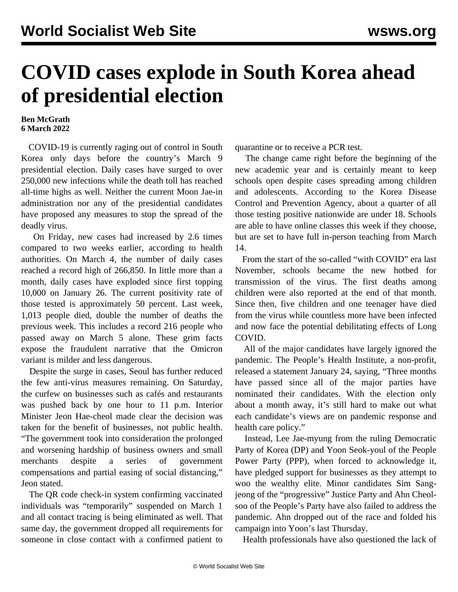## **COVID cases explode in South Korea ahead of presidential election**

## **Ben McGrath 6 March 2022**

 COVID-19 is currently raging out of control in South Korea only days before the country's March 9 presidential election. Daily cases have surged to over 250,000 new infections while the death toll has reached all-time highs as well. Neither the current Moon Jae-in administration nor any of the presidential candidates have proposed any measures to stop the spread of the deadly virus.

 On Friday, new cases had increased by 2.6 times compared to two weeks earlier, according to health authorities. On March 4, the number of daily cases reached a record high of 266,850. In little more than a month, daily cases have exploded since first topping 10,000 on January 26. The current positivity rate of those tested is approximately 50 percent. Last week, 1,013 people died, double the number of deaths the previous week. This includes a record 216 people who passed away on March 5 alone. These grim facts expose the fraudulent narrative that the Omicron variant is milder and less dangerous.

 Despite the surge in cases, Seoul has further reduced the few anti-virus measures remaining. On Saturday, the curfew on businesses such as cafés and restaurants was pushed back by one hour to 11 p.m. Interior Minister Jeon Hae-cheol made clear the decision was taken for the benefit of businesses, not public health. "The government took into consideration the prolonged and worsening hardship of business owners and small merchants despite a series of government compensations and partial easing of social distancing," Jeon stated.

 The QR code check-in system confirming vaccinated individuals was "temporarily" suspended on March 1 and all contact tracing is being eliminated as well. That same day, the government dropped all requirements for someone in close contact with a confirmed patient to quarantine or to receive a PCR test.

 The change came right before the beginning of the new academic year and is certainly meant to keep schools open despite cases spreading among children and adolescents. According to the Korea Disease Control and Prevention Agency, about a quarter of all those testing positive nationwide are under 18. Schools are able to have online classes this week if they choose, but are set to have full in-person teaching from March 14.

 From the start of the so-called "with COVID" era last November, schools became the new hotbed for transmission of the virus. The first deaths among children were also reported at the end of that month. Since then, five children and one teenager have died from the virus while countless more have been infected and now face the potential debilitating effects of Long COVID.

 All of the major candidates have largely ignored the pandemic. The People's Health Institute, a non-profit, released a statement January 24, saying, "Three months have passed since all of the major parties have nominated their candidates. With the election only about a month away, it's still hard to make out what each candidate's views are on pandemic response and health care policy."

 Instead, Lee Jae-myung from the ruling Democratic Party of Korea (DP) and Yoon Seok-youl of the People Power Party (PPP), when forced to acknowledge it, have pledged support for businesses as they attempt to woo the wealthy elite. Minor candidates Sim Sangjeong of the "progressive" Justice Party and Ahn Cheolsoo of the People's Party have also failed to address the pandemic. Ahn dropped out of the race and folded his campaign into Yoon's last Thursday.

Health professionals have also questioned the lack of